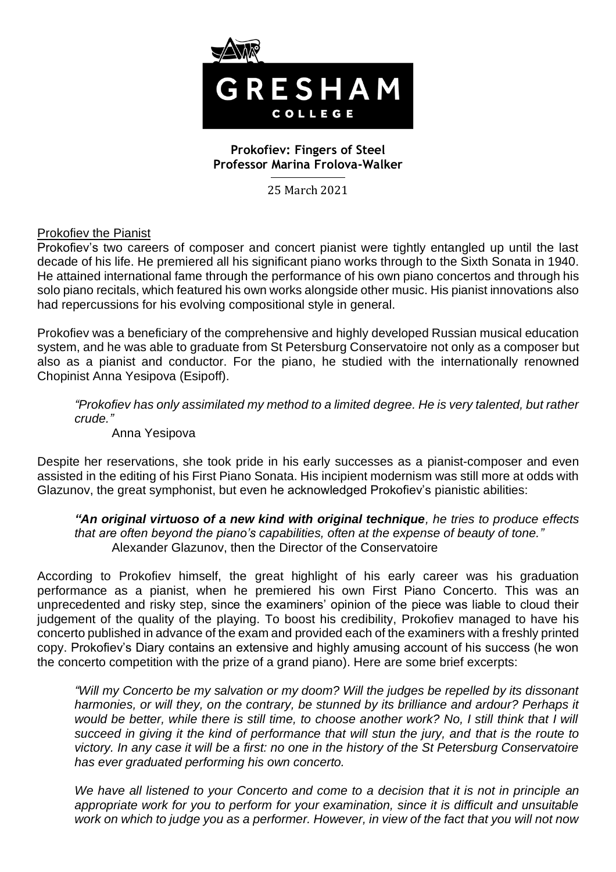

# **Prokofiev: Fingers of Steel Professor Marina Frolova-Walker**

25 March 2021

Prokofiev the Pianist

Prokofiev's two careers of composer and concert pianist were tightly entangled up until the last decade of his life. He premiered all his significant piano works through to the Sixth Sonata in 1940. He attained international fame through the performance of his own piano concertos and through his solo piano recitals, which featured his own works alongside other music. His pianist innovations also had repercussions for his evolving compositional style in general.

Prokofiev was a beneficiary of the comprehensive and highly developed Russian musical education system, and he was able to graduate from St Petersburg Conservatoire not only as a composer but also as a pianist and conductor. For the piano, he studied with the internationally renowned Chopinist Anna Yesipova (Esipoff).

*"Prokofiev has only assimilated my method to a limited degree. He is very talented, but rather crude."*

Anna Yesipova

Despite her reservations, she took pride in his early successes as a pianist-composer and even assisted in the editing of his First Piano Sonata. His incipient modernism was still more at odds with Glazunov, the great symphonist, but even he acknowledged Prokofiev's pianistic abilities:

*"An original virtuoso of a new kind with original technique, he tries to produce effects that are often beyond the piano's capabilities, often at the expense of beauty of tone."* Alexander Glazunov, then the Director of the Conservatoire

According to Prokofiev himself, the great highlight of his early career was his graduation performance as a pianist, when he premiered his own First Piano Concerto. This was an unprecedented and risky step, since the examiners' opinion of the piece was liable to cloud their judgement of the quality of the playing. To boost his credibility, Prokofiev managed to have his concerto published in advance of the exam and provided each of the examiners with a freshly printed copy. Prokofiev's Diary contains an extensive and highly amusing account of his success (he won the concerto competition with the prize of a grand piano). Here are some brief excerpts:

*"Will my Concerto be my salvation or my doom? Will the judges be repelled by its dissonant harmonies, or will they, on the contrary, be stunned by its brilliance and ardour? Perhaps it*  would be better, while there is still time, to choose another work? No, I still think that I will *succeed in giving it the kind of performance that will stun the jury, and that is the route to victory. In any case it will be a first: no one in the history of the St Petersburg Conservatoire has ever graduated performing his own concerto.*

*We have all listened to your Concerto and come to a decision that it is not in principle an appropriate work for you to perform for your examination, since it is difficult and unsuitable work on which to judge you as a performer. However, in view of the fact that you will not now*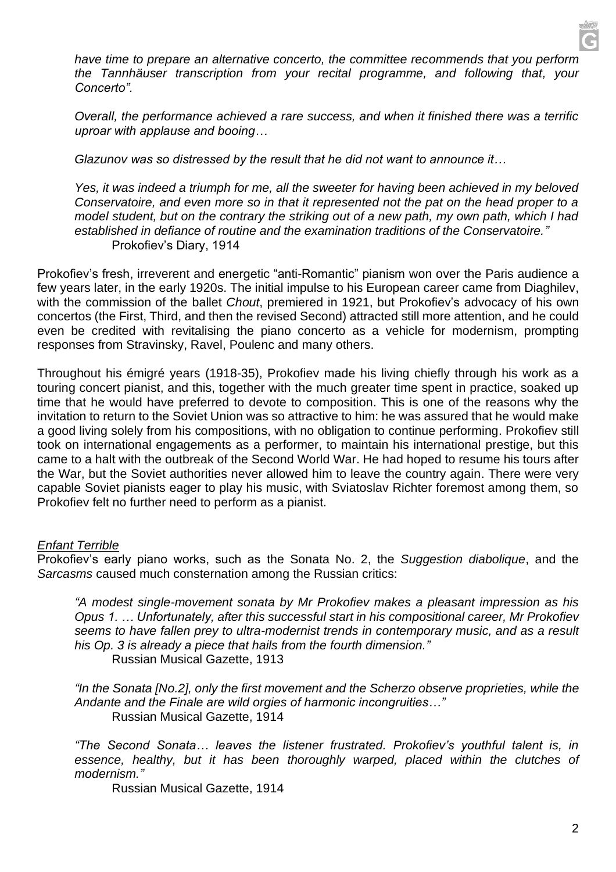*have time to prepare an alternative concerto, the committee recommends that you perform the Tannhäuser transcription from your recital programme, and following that, your Concerto".* 

*Overall, the performance achieved a rare success, and when it finished there was a terrific uproar with applause and booing…*

*Glazunov was so distressed by the result that he did not want to announce it…*

Yes, it was indeed a triumph for me, all the sweeter for having been achieved in my beloved *Conservatoire, and even more so in that it represented not the pat on the head proper to a model student, but on the contrary the striking out of a new path, my own path, which I had established in defiance of routine and the examination traditions of the Conservatoire."* Prokofiev's Diary, 1914

Prokofiev's fresh, irreverent and energetic "anti-Romantic" pianism won over the Paris audience a few years later, in the early 1920s. The initial impulse to his European career came from Diaghilev, with the commission of the ballet *Chout*, premiered in 1921, but Prokofiev's advocacy of his own concertos (the First, Third, and then the revised Second) attracted still more attention, and he could even be credited with revitalising the piano concerto as a vehicle for modernism, prompting responses from Stravinsky, Ravel, Poulenc and many others.

Throughout his émigré years (1918-35), Prokofiev made his living chiefly through his work as a touring concert pianist, and this, together with the much greater time spent in practice, soaked up time that he would have preferred to devote to composition. This is one of the reasons why the invitation to return to the Soviet Union was so attractive to him: he was assured that he would make a good living solely from his compositions, with no obligation to continue performing. Prokofiev still took on international engagements as a performer, to maintain his international prestige, but this came to a halt with the outbreak of the Second World War. He had hoped to resume his tours after the War, but the Soviet authorities never allowed him to leave the country again. There were very capable Soviet pianists eager to play his music, with Sviatoslav Richter foremost among them, so Prokofiev felt no further need to perform as a pianist.

### *Enfant Terrible*

Prokofiev's early piano works, such as the Sonata No. 2, the *Suggestion diabolique*, and the *Sarcasms* caused much consternation among the Russian critics:

*"A modest single-movement sonata by Mr Prokofiev makes a pleasant impression as his Opus 1. … Unfortunately, after this successful start in his compositional career, Mr Prokofiev seems to have fallen prey to ultra-modernist trends in contemporary music, and as a result his Op. 3 is already a piece that hails from the fourth dimension."*

Russian Musical Gazette, 1913

*"In the Sonata [No.2], only the first movement and the Scherzo observe proprieties, while the Andante and the Finale are wild orgies of harmonic incongruities…"* Russian Musical Gazette, 1914

*"The Second Sonata… leaves the listener frustrated. Prokofiev's youthful talent is, in essence, healthy, but it has been thoroughly warped, placed within the clutches of modernism."*

Russian Musical Gazette, 1914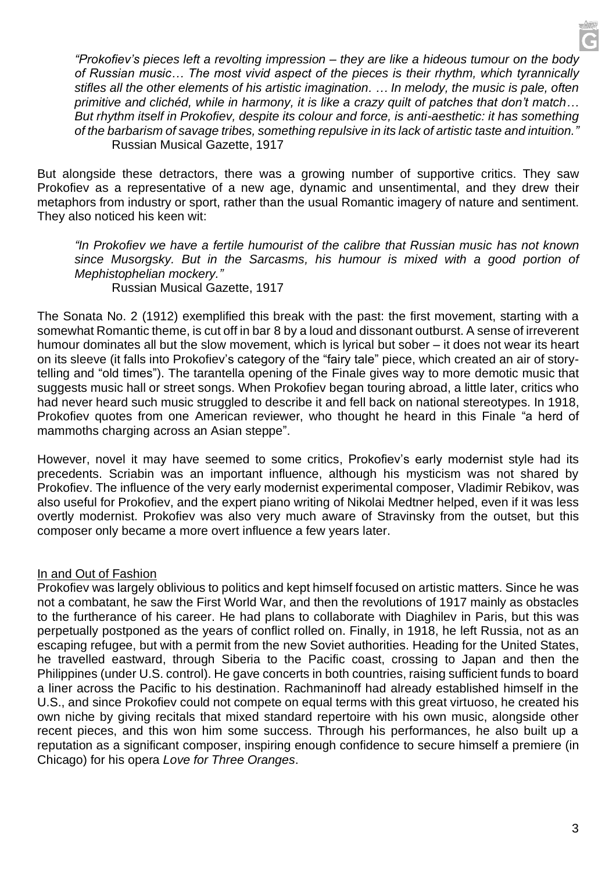*"Prokofiev's pieces left a revolting impression – they are like a hideous tumour on the body of Russian music… The most vivid aspect of the pieces is their rhythm, which tyrannically stifles all the other elements of his artistic imagination. … In melody, the music is pale, often primitive and clichéd, while in harmony, it is like a crazy quilt of patches that don't match… But rhythm itself in Prokofiev, despite its colour and force, is anti-aesthetic: it has something of the barbarism of savage tribes, something repulsive in its lack of artistic taste and intuition."* Russian Musical Gazette, 1917

But alongside these detractors, there was a growing number of supportive critics. They saw Prokofiev as a representative of a new age, dynamic and unsentimental, and they drew their metaphors from industry or sport, rather than the usual Romantic imagery of nature and sentiment. They also noticed his keen wit:

*"In Prokofiev we have a fertile humourist of the calibre that Russian music has not known since Musorgsky. But in the Sarcasms, his humour is mixed with a good portion of Mephistophelian mockery."* Russian Musical Gazette, 1917

The Sonata No. 2 (1912) exemplified this break with the past: the first movement, starting with a somewhat Romantic theme, is cut off in bar 8 by a loud and dissonant outburst. A sense of irreverent humour dominates all but the slow movement, which is lyrical but sober – it does not wear its heart on its sleeve (it falls into Prokofiev's category of the "fairy tale" piece, which created an air of storytelling and "old times"). The tarantella opening of the Finale gives way to more demotic music that suggests music hall or street songs. When Prokofiev began touring abroad, a little later, critics who had never heard such music struggled to describe it and fell back on national stereotypes. In 1918, Prokofiev quotes from one American reviewer, who thought he heard in this Finale "a herd of mammoths charging across an Asian steppe".

However, novel it may have seemed to some critics, Prokofiev's early modernist style had its precedents. Scriabin was an important influence, although his mysticism was not shared by Prokofiev. The influence of the very early modernist experimental composer, Vladimir Rebikov, was also useful for Prokofiev, and the expert piano writing of Nikolai Medtner helped, even if it was less overtly modernist. Prokofiev was also very much aware of Stravinsky from the outset, but this composer only became a more overt influence a few years later.

# In and Out of Fashion

Prokofiev was largely oblivious to politics and kept himself focused on artistic matters. Since he was not a combatant, he saw the First World War, and then the revolutions of 1917 mainly as obstacles to the furtherance of his career. He had plans to collaborate with Diaghilev in Paris, but this was perpetually postponed as the years of conflict rolled on. Finally, in 1918, he left Russia, not as an escaping refugee, but with a permit from the new Soviet authorities. Heading for the United States, he travelled eastward, through Siberia to the Pacific coast, crossing to Japan and then the Philippines (under U.S. control). He gave concerts in both countries, raising sufficient funds to board a liner across the Pacific to his destination. Rachmaninoff had already established himself in the U.S., and since Prokofiev could not compete on equal terms with this great virtuoso, he created his own niche by giving recitals that mixed standard repertoire with his own music, alongside other recent pieces, and this won him some success. Through his performances, he also built up a reputation as a significant composer, inspiring enough confidence to secure himself a premiere (in Chicago) for his opera *Love for Three Oranges*.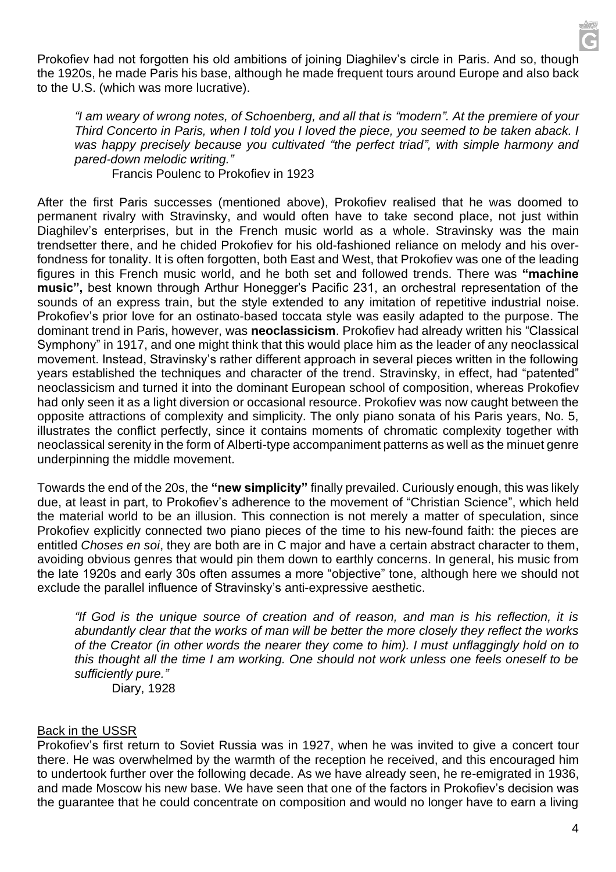Prokofiev had not forgotten his old ambitions of joining Diaghilev's circle in Paris. And so, though the 1920s, he made Paris his base, although he made frequent tours around Europe and also back to the U.S. (which was more lucrative).

*"I am weary of wrong notes, of Schoenberg, and all that is "modern". At the premiere of your Third Concerto in Paris, when I told you I loved the piece, you seemed to be taken aback. I was happy precisely because you cultivated "the perfect triad", with simple harmony and pared-down melodic writing."*

Francis Poulenc to Prokofiev in 1923

After the first Paris successes (mentioned above), Prokofiev realised that he was doomed to permanent rivalry with Stravinsky, and would often have to take second place, not just within Diaghilev's enterprises, but in the French music world as a whole. Stravinsky was the main trendsetter there, and he chided Prokofiev for his old-fashioned reliance on melody and his overfondness for tonality. It is often forgotten, both East and West, that Prokofiev was one of the leading figures in this French music world, and he both set and followed trends. There was **"machine music",** best known through Arthur Honegger's Pacific 231, an orchestral representation of the sounds of an express train, but the style extended to any imitation of repetitive industrial noise. Prokofiev's prior love for an ostinato-based toccata style was easily adapted to the purpose. The dominant trend in Paris, however, was **neoclassicism**. Prokofiev had already written his "Classical Symphony" in 1917, and one might think that this would place him as the leader of any neoclassical movement. Instead, Stravinsky's rather different approach in several pieces written in the following years established the techniques and character of the trend. Stravinsky, in effect, had "patented" neoclassicism and turned it into the dominant European school of composition, whereas Prokofiev had only seen it as a light diversion or occasional resource. Prokofiev was now caught between the opposite attractions of complexity and simplicity. The only piano sonata of his Paris years, No. 5, illustrates the conflict perfectly, since it contains moments of chromatic complexity together with neoclassical serenity in the form of Alberti-type accompaniment patterns as well as the minuet genre underpinning the middle movement.

Towards the end of the 20s, the **"new simplicity"** finally prevailed. Curiously enough, this was likely due, at least in part, to Prokofiev's adherence to the movement of "Christian Science", which held the material world to be an illusion. This connection is not merely a matter of speculation, since Prokofiev explicitly connected two piano pieces of the time to his new-found faith: the pieces are entitled *Choses en soi*, they are both are in C major and have a certain abstract character to them, avoiding obvious genres that would pin them down to earthly concerns. In general, his music from the late 1920s and early 30s often assumes a more "objective" tone, although here we should not exclude the parallel influence of Stravinsky's anti-expressive aesthetic.

*"If God is the unique source of creation and of reason, and man is his reflection, it is abundantly clear that the works of man will be better the more closely they reflect the works of the Creator (in other words the nearer they come to him). I must unflaggingly hold on to this thought all the time I am working. One should not work unless one feels oneself to be sufficiently pure."* Diary, 1928

## Back in the USSR

Prokofiev's first return to Soviet Russia was in 1927, when he was invited to give a concert tour there. He was overwhelmed by the warmth of the reception he received, and this encouraged him to undertook further over the following decade. As we have already seen, he re-emigrated in 1936, and made Moscow his new base. We have seen that one of the factors in Prokofiev's decision was the guarantee that he could concentrate on composition and would no longer have to earn a living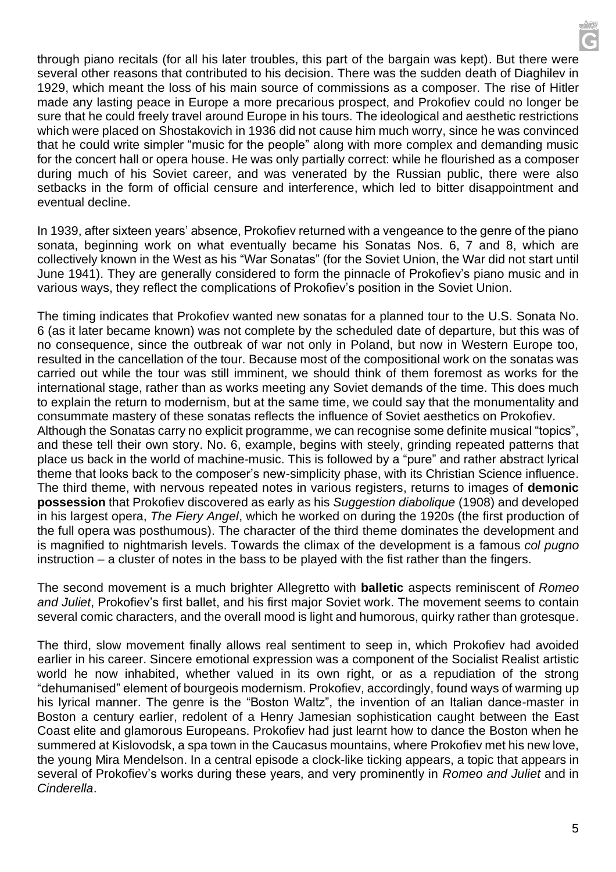through piano recitals (for all his later troubles, this part of the bargain was kept). But there were several other reasons that contributed to his decision. There was the sudden death of Diaghilev in 1929, which meant the loss of his main source of commissions as a composer. The rise of Hitler made any lasting peace in Europe a more precarious prospect, and Prokofiev could no longer be sure that he could freely travel around Europe in his tours. The ideological and aesthetic restrictions which were placed on Shostakovich in 1936 did not cause him much worry, since he was convinced that he could write simpler "music for the people" along with more complex and demanding music for the concert hall or opera house. He was only partially correct: while he flourished as a composer during much of his Soviet career, and was venerated by the Russian public, there were also setbacks in the form of official censure and interference, which led to bitter disappointment and eventual decline.

In 1939, after sixteen years' absence, Prokofiev returned with a vengeance to the genre of the piano sonata, beginning work on what eventually became his Sonatas Nos. 6, 7 and 8, which are collectively known in the West as his "War Sonatas" (for the Soviet Union, the War did not start until June 1941). They are generally considered to form the pinnacle of Prokofiev's piano music and in various ways, they reflect the complications of Prokofiev's position in the Soviet Union.

The timing indicates that Prokofiev wanted new sonatas for a planned tour to the U.S. Sonata No. 6 (as it later became known) was not complete by the scheduled date of departure, but this was of no consequence, since the outbreak of war not only in Poland, but now in Western Europe too, resulted in the cancellation of the tour. Because most of the compositional work on the sonatas was carried out while the tour was still imminent, we should think of them foremost as works for the international stage, rather than as works meeting any Soviet demands of the time. This does much to explain the return to modernism, but at the same time, we could say that the monumentality and consummate mastery of these sonatas reflects the influence of Soviet aesthetics on Prokofiev. Although the Sonatas carry no explicit programme, we can recognise some definite musical "topics", and these tell their own story. No. 6, example, begins with steely, grinding repeated patterns that place us back in the world of machine-music. This is followed by a "pure" and rather abstract lyrical theme that looks back to the composer's new-simplicity phase, with its Christian Science influence. The third theme, with nervous repeated notes in various registers, returns to images of **demonic possession** that Prokofiev discovered as early as his *Suggestion diabolique* (1908) and developed in his largest opera, *The Fiery Angel*, which he worked on during the 1920s (the first production of the full opera was posthumous). The character of the third theme dominates the development and is magnified to nightmarish levels. Towards the climax of the development is a famous *col pugno* instruction – a cluster of notes in the bass to be played with the fist rather than the fingers.

The second movement is a much brighter Allegretto with **balletic** aspects reminiscent of *Romeo and Juliet*, Prokofiev's first ballet, and his first major Soviet work. The movement seems to contain several comic characters, and the overall mood is light and humorous, quirky rather than grotesque.

The third, slow movement finally allows real sentiment to seep in, which Prokofiev had avoided earlier in his career. Sincere emotional expression was a component of the Socialist Realist artistic world he now inhabited, whether valued in its own right, or as a repudiation of the strong "dehumanised" element of bourgeois modernism. Prokofiev, accordingly, found ways of warming up his lyrical manner. The genre is the "Boston Waltz", the invention of an Italian dance-master in Boston a century earlier, redolent of a Henry Jamesian sophistication caught between the East Coast elite and glamorous Europeans. Prokofiev had just learnt how to dance the Boston when he summered at Kislovodsk, a spa town in the Caucasus mountains, where Prokofiev met his new love, the young Mira Mendelson. In a central episode a clock-like ticking appears, a topic that appears in several of Prokofiev's works during these years, and very prominently in *Romeo and Juliet* and in *Cinderella*.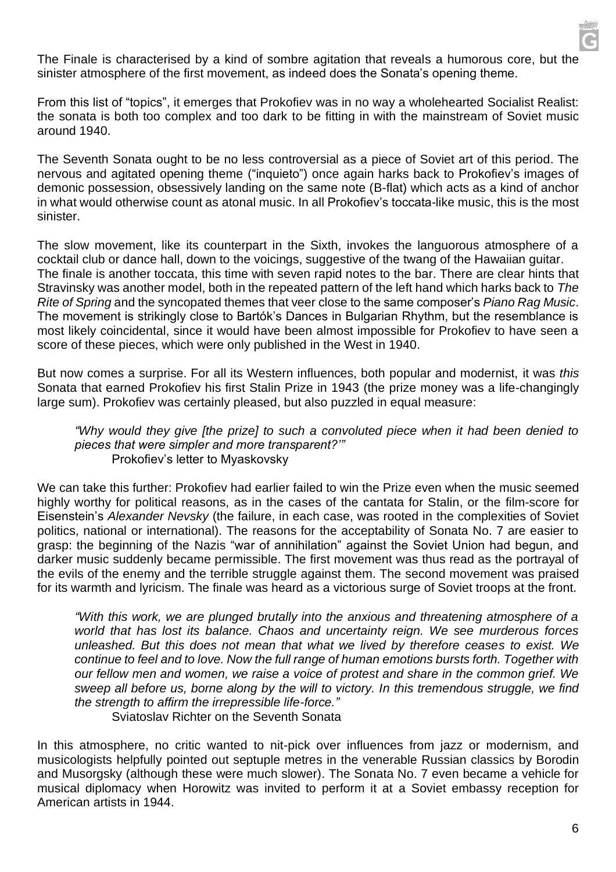

The Finale is characterised by a kind of sombre agitation that reveals a humorous core, but the sinister atmosphere of the first movement, as indeed does the Sonata's opening theme.

From this list of "topics", it emerges that Prokofiev was in no way a wholehearted Socialist Realist: the sonata is both too complex and too dark to be fitting in with the mainstream of Soviet music around 1940.

The Seventh Sonata ought to be no less controversial as a piece of Soviet art of this period. The nervous and agitated opening theme ("inquieto") once again harks back to Prokofiev's images of demonic possession, obsessively landing on the same note (B-flat) which acts as a kind of anchor in what would otherwise count as atonal music. In all Prokofiev's toccata-like music, this is the most sinister.

The slow movement, like its counterpart in the Sixth, invokes the languorous atmosphere of a cocktail club or dance hall, down to the voicings, suggestive of the twang of the Hawaiian guitar. The finale is another toccata, this time with seven rapid notes to the bar. There are clear hints that Stravinsky was another model, both in the repeated pattern of the left hand which harks back to *The Rite of Spring* and the syncopated themes that veer close to the same composer's *Piano Rag Music*. The movement is strikingly close to Bartók's Dances in Bulgarian Rhythm, but the resemblance is most likely coincidental, since it would have been almost impossible for Prokofiev to have seen a score of these pieces, which were only published in the West in 1940.

But now comes a surprise. For all its Western influences, both popular and modernist, it was *this* Sonata that earned Prokofiev his first Stalin Prize in 1943 (the prize money was a life-changingly large sum). Prokofiev was certainly pleased, but also puzzled in equal measure:

#### *"Why would they give [the prize] to such a convoluted piece when it had been denied to pieces that were simpler and more transparent?'"* Prokofiev's letter to Myaskovsky

We can take this further: Prokofiev had earlier failed to win the Prize even when the music seemed highly worthy for political reasons, as in the cases of the cantata for Stalin, or the film-score for Eisenstein's *Alexander Nevsky* (the failure, in each case, was rooted in the complexities of Soviet politics, national or international). The reasons for the acceptability of Sonata No. 7 are easier to grasp: the beginning of the Nazis "war of annihilation" against the Soviet Union had begun, and darker music suddenly became permissible. The first movement was thus read as the portrayal of the evils of the enemy and the terrible struggle against them. The second movement was praised for its warmth and lyricism. The finale was heard as a victorious surge of Soviet troops at the front.

*"With this work, we are plunged brutally into the anxious and threatening atmosphere of a world that has lost its balance. Chaos and uncertainty reign. We see murderous forces unleashed. But this does not mean that what we lived by therefore ceases to exist. We continue to feel and to love. Now the full range of human emotions bursts forth. Together with our fellow men and women, we raise a voice of protest and share in the common grief. We sweep all before us, borne along by the will to victory. In this tremendous struggle, we find the strength to affirm the irrepressible life-force."*

Sviatoslav Richter on the Seventh Sonata

In this atmosphere, no critic wanted to nit-pick over influences from jazz or modernism, and musicologists helpfully pointed out septuple metres in the venerable Russian classics by Borodin and Musorgsky (although these were much slower). The Sonata No. 7 even became a vehicle for musical diplomacy when Horowitz was invited to perform it at a Soviet embassy reception for American artists in 1944.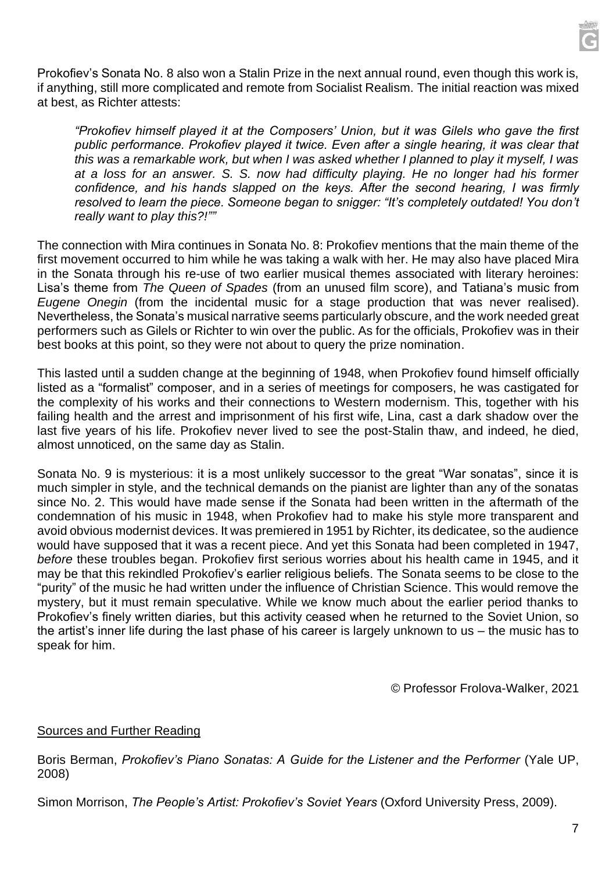

Prokofiev's Sonata No. 8 also won a Stalin Prize in the next annual round, even though this work is, if anything, still more complicated and remote from Socialist Realism. The initial reaction was mixed at best, as Richter attests:

*"Prokofiev himself played it at the Composers' Union, but it was Gilels who gave the first public performance. Prokofiev played it twice. Even after a single hearing, it was clear that this was a remarkable work, but when I was asked whether I planned to play it myself, I was at a loss for an answer. S. S. now had difficulty playing. He no longer had his former confidence, and his hands slapped on the keys. After the second hearing, I was firmly resolved to learn the piece. Someone began to snigger: "It's completely outdated! You don't really want to play this?!""*

The connection with Mira continues in Sonata No. 8: Prokofiev mentions that the main theme of the first movement occurred to him while he was taking a walk with her. He may also have placed Mira in the Sonata through his re-use of two earlier musical themes associated with literary heroines: Lisa's theme from *The Queen of Spades* (from an unused film score), and Tatiana's music from *Eugene Onegin* (from the incidental music for a stage production that was never realised). Nevertheless, the Sonata's musical narrative seems particularly obscure, and the work needed great performers such as Gilels or Richter to win over the public. As for the officials, Prokofiev was in their best books at this point, so they were not about to query the prize nomination.

This lasted until a sudden change at the beginning of 1948, when Prokofiev found himself officially listed as a "formalist" composer, and in a series of meetings for composers, he was castigated for the complexity of his works and their connections to Western modernism. This, together with his failing health and the arrest and imprisonment of his first wife, Lina, cast a dark shadow over the last five years of his life. Prokofiev never lived to see the post-Stalin thaw, and indeed, he died, almost unnoticed, on the same day as Stalin.

Sonata No. 9 is mysterious: it is a most unlikely successor to the great "War sonatas", since it is much simpler in style, and the technical demands on the pianist are lighter than any of the sonatas since No. 2. This would have made sense if the Sonata had been written in the aftermath of the condemnation of his music in 1948, when Prokofiev had to make his style more transparent and avoid obvious modernist devices. It was premiered in 1951 by Richter, its dedicatee, so the audience would have supposed that it was a recent piece. And yet this Sonata had been completed in 1947, *before* these troubles began. Prokofiev first serious worries about his health came in 1945, and it may be that this rekindled Prokofiev's earlier religious beliefs. The Sonata seems to be close to the "purity" of the music he had written under the influence of Christian Science. This would remove the mystery, but it must remain speculative. While we know much about the earlier period thanks to Prokofiev's finely written diaries, but this activity ceased when he returned to the Soviet Union, so the artist's inner life during the last phase of his career is largely unknown to us – the music has to speak for him.

© Professor Frolova-Walker, 2021

### Sources and Further Reading

Boris Berman, *Prokofiev's Piano Sonatas: A Guide for the Listener and the Performer* (Yale UP, 2008)

Simon Morrison, *The People's Artist: Prokofiev's Soviet Years* (Oxford University Press, 2009).